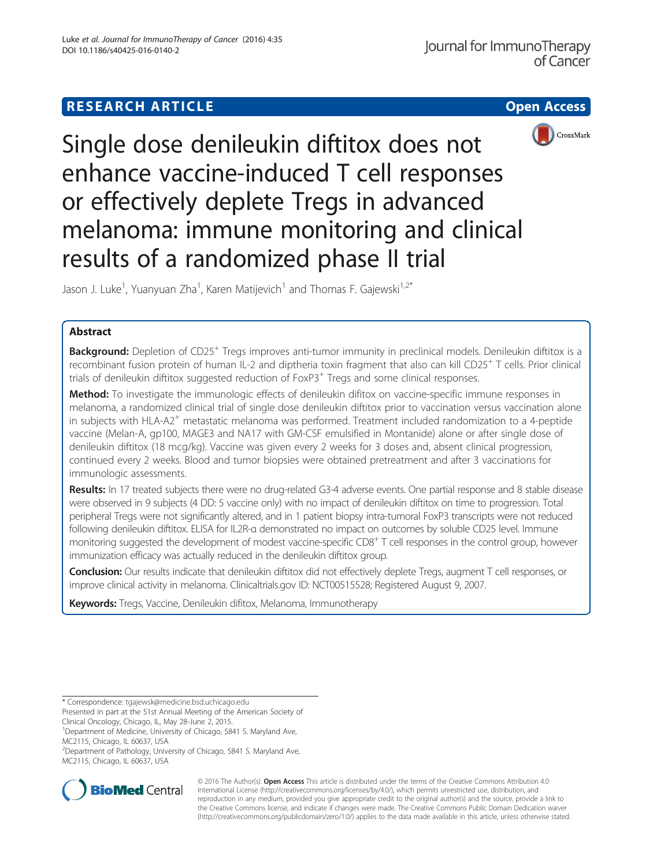# **RESEARCH ARTICLE Example 2014 12:30 The Contract of Contract Contract Contract Contract Contract Contract Contract Contract Contract Contract Contract Contract Contract Contract Contract Contract Contract Contract Contr**



Single dose denileukin diftitox does not enhance vaccine-induced T cell responses or effectively deplete Tregs in advanced melanoma: immune monitoring and clinical results of a randomized phase II trial

Jason J. Luke<sup>1</sup>, Yuanyuan Zha<sup>1</sup>, Karen Matijevich<sup>1</sup> and Thomas F. Gajewski<sup>1,2\*</sup>

## Abstract

Background: Depletion of CD25<sup>+</sup> Tregs improves anti-tumor immunity in preclinical models. Denileukin diftitox is a recombinant fusion protein of human IL-2 and diptheria toxin fragment that also can kill CD25<sup>+</sup> T cells. Prior clinical trials of denileukin diftitox suggested reduction of FoxP3<sup>+</sup> Tregs and some clinical responses.

Method: To investigate the immunologic effects of denileukin difitox on vaccine-specific immune responses in melanoma, a randomized clinical trial of single dose denileukin diftitox prior to vaccination versus vaccination alone in subjects with HLA-A2<sup>+</sup> metastatic melanoma was performed. Treatment included randomization to a 4-peptide vaccine (Melan-A, gp100, MAGE3 and NA17 with GM-CSF emulsified in Montanide) alone or after single dose of denileukin diftitox (18 mcg/kg). Vaccine was given every 2 weeks for 3 doses and, absent clinical progression, continued every 2 weeks. Blood and tumor biopsies were obtained pretreatment and after 3 vaccinations for immunologic assessments.

Results: In 17 treated subjects there were no drug-related G3-4 adverse events. One partial response and 8 stable disease were observed in 9 subjects (4 DD: 5 vaccine only) with no impact of denileukin diftitox on time to progression. Total peripheral Tregs were not significantly altered, and in 1 patient biopsy intra-tumoral FoxP3 transcripts were not reduced following denileukin diftitox. ELISA for IL2R-α demonstrated no impact on outcomes by soluble CD25 level. Immune monitoring suggested the development of modest vaccine-specific CD8<sup>+</sup> T cell responses in the control group, however immunization efficacy was actually reduced in the denileukin diftitox group.

Conclusion: Our results indicate that denileukin diftitox did not effectively deplete Tregs, augment T cell responses, or improve clinical activity in melanoma. Clinicaltrials.gov ID: NCT00515528; Registered August 9, 2007.

Keywords: Tregs, Vaccine, Denileukin difitox, Melanoma, Immunotherapy

<sup>&</sup>lt;sup>2</sup> Department of Pathology, University of Chicago, 5841 S. Maryland Ave, MC2115, Chicago, IL 60637, USA



© 2016 The Author(s). Open Access This article is distributed under the terms of the Creative Commons Attribution 4.0 International License [\(http://creativecommons.org/licenses/by/4.0/](http://creativecommons.org/licenses/by/4.0/)), which permits unrestricted use, distribution, and reproduction in any medium, provided you give appropriate credit to the original author(s) and the source, provide a link to the Creative Commons license, and indicate if changes were made. The Creative Commons Public Domain Dedication waiver [\(http://creativecommons.org/publicdomain/zero/1.0/](http://creativecommons.org/publicdomain/zero/1.0/)) applies to the data made available in this article, unless otherwise stated.

<sup>\*</sup> Correspondence: [tgajewsk@medicine.bsd.uchicago.edu](mailto:tgajewsk@medicine.bsd.uchicago.edu)

Presented in part at the 51st Annual Meeting of the American Society of Clinical Oncology, Chicago, IL, May 28-June 2, 2015.

<sup>&</sup>lt;sup>1</sup>Department of Medicine, University of Chicago, 5841 S. Maryland Ave, MC2115, Chicago, IL 60637, USA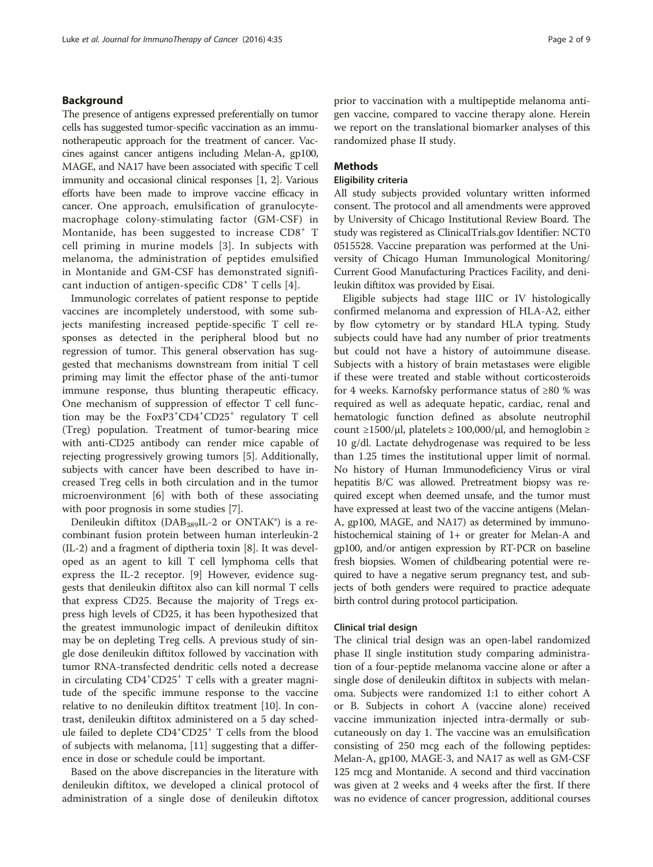### Background

The presence of antigens expressed preferentially on tumor cells has suggested tumor-specific vaccination as an immunotherapeutic approach for the treatment of cancer. Vaccines against cancer antigens including Melan-A, gp100, MAGE, and NA17 have been associated with specific T cell immunity and occasional clinical responses [[1,](#page-7-0) [2\]](#page-8-0). Various efforts have been made to improve vaccine efficacy in cancer. One approach, emulsification of granulocytemacrophage colony-stimulating factor (GM-CSF) in Montanide, has been suggested to increase CD8<sup>+</sup> T cell priming in murine models [[3](#page-8-0)]. In subjects with melanoma, the administration of peptides emulsified in Montanide and GM-CSF has demonstrated signifi-cant induction of antigen-specific CD8<sup>+</sup> T cells [[4](#page-8-0)].

Immunologic correlates of patient response to peptide vaccines are incompletely understood, with some subjects manifesting increased peptide-specific T cell responses as detected in the peripheral blood but no regression of tumor. This general observation has suggested that mechanisms downstream from initial T cell priming may limit the effector phase of the anti-tumor immune response, thus blunting therapeutic efficacy. One mechanism of suppression of effector T cell function may be the FoxP3<sup>+</sup>CD4<sup>+</sup>CD25<sup>+</sup> regulatory T cell (Treg) population. Treatment of tumor-bearing mice with anti-CD25 antibody can render mice capable of rejecting progressively growing tumors [[5](#page-8-0)]. Additionally, subjects with cancer have been described to have increased Treg cells in both circulation and in the tumor microenvironment [\[6](#page-8-0)] with both of these associating with poor prognosis in some studies [[7](#page-8-0)].

Denileukin diftitox (DAB<sub>389</sub>IL-2 or ONTAK®) is a recombinant fusion protein between human interleukin-2 (IL-2) and a fragment of diptheria toxin [\[8](#page-8-0)]. It was developed as an agent to kill T cell lymphoma cells that express the IL-2 receptor. [[9](#page-8-0)] However, evidence suggests that denileukin diftitox also can kill normal T cells that express CD25. Because the majority of Tregs express high levels of CD25, it has been hypothesized that the greatest immunologic impact of denileukin diftitox may be on depleting Treg cells. A previous study of single dose denileukin diftitox followed by vaccination with tumor RNA-transfected dendritic cells noted a decrease in circulating CD4<sup>+</sup>CD25<sup>+</sup> T cells with a greater magnitude of the specific immune response to the vaccine relative to no denileukin diftitox treatment [\[10](#page-8-0)]. In contrast, denileukin diftitox administered on a 5 day schedule failed to deplete  $CD4^+CD25^+$  T cells from the blood of subjects with melanoma, [\[11](#page-8-0)] suggesting that a difference in dose or schedule could be important.

Based on the above discrepancies in the literature with denileukin diftitox, we developed a clinical protocol of administration of a single dose of denileukin diftotox prior to vaccination with a multipeptide melanoma antigen vaccine, compared to vaccine therapy alone. Herein we report on the translational biomarker analyses of this randomized phase II study.

### Methods

## Eligibility criteria

All study subjects provided voluntary written informed consent. The protocol and all amendments were approved by University of Chicago Institutional Review Board. The study was registered as ClinicalTrials.gov Identifier: NCT0 0515528. Vaccine preparation was performed at the University of Chicago Human Immunological Monitoring/ Current Good Manufacturing Practices Facility, and denileukin diftitox was provided by Eisai.

Eligible subjects had stage IIIC or IV histologically confirmed melanoma and expression of HLA-A2, either by flow cytometry or by standard HLA typing. Study subjects could have had any number of prior treatments but could not have a history of autoimmune disease. Subjects with a history of brain metastases were eligible if these were treated and stable without corticosteroids for 4 weeks. Karnofsky performance status of ≥80 % was required as well as adequate hepatic, cardiac, renal and hematologic function defined as absolute neutrophil count  $\geq$ 1500/μl, platelets  $\geq$  100,000/μl, and hemoglobin  $\geq$ 10 g/dl. Lactate dehydrogenase was required to be less than 1.25 times the institutional upper limit of normal. No history of Human Immunodeficiency Virus or viral hepatitis B/C was allowed. Pretreatment biopsy was required except when deemed unsafe, and the tumor must have expressed at least two of the vaccine antigens (Melan-A, gp100, MAGE, and NA17) as determined by immunohistochemical staining of 1+ or greater for Melan-A and gp100, and/or antigen expression by RT-PCR on baseline fresh biopsies. Women of childbearing potential were required to have a negative serum pregnancy test, and subjects of both genders were required to practice adequate birth control during protocol participation.

#### Clinical trial design

The clinical trial design was an open-label randomized phase II single institution study comparing administration of a four-peptide melanoma vaccine alone or after a single dose of denileukin diftitox in subjects with melanoma. Subjects were randomized 1:1 to either cohort A or B. Subjects in cohort A (vaccine alone) received vaccine immunization injected intra-dermally or subcutaneously on day 1. The vaccine was an emulsification consisting of 250 mcg each of the following peptides: Melan-A, gp100, MAGE-3, and NA17 as well as GM-CSF 125 mcg and Montanide. A second and third vaccination was given at 2 weeks and 4 weeks after the first. If there was no evidence of cancer progression, additional courses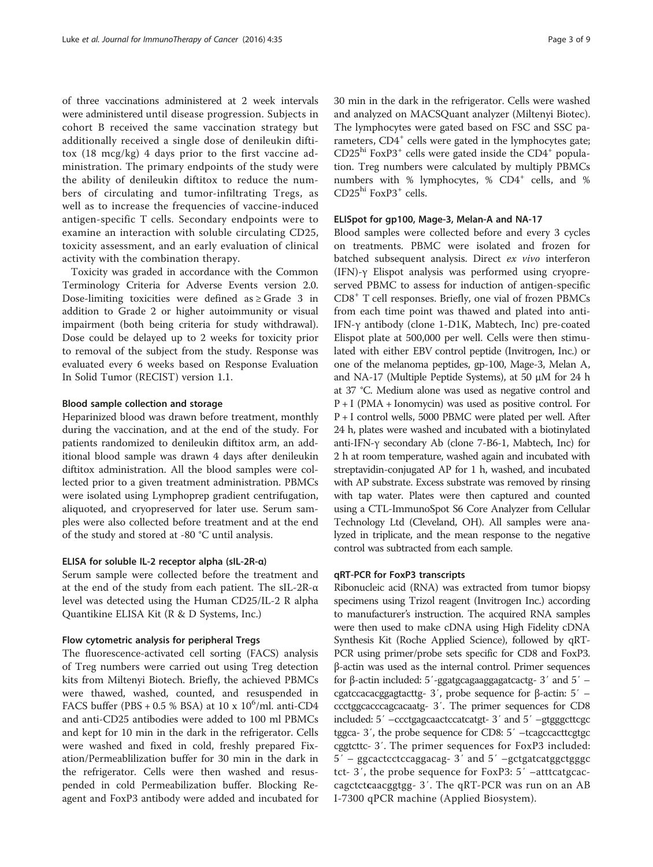of three vaccinations administered at 2 week intervals were administered until disease progression. Subjects in cohort B received the same vaccination strategy but additionally received a single dose of denileukin diftitox (18 mcg/kg) 4 days prior to the first vaccine administration. The primary endpoints of the study were the ability of denileukin diftitox to reduce the numbers of circulating and tumor-infiltrating Tregs, as well as to increase the frequencies of vaccine-induced antigen-specific T cells. Secondary endpoints were to examine an interaction with soluble circulating CD25, toxicity assessment, and an early evaluation of clinical activity with the combination therapy.

Toxicity was graded in accordance with the Common Terminology Criteria for Adverse Events version 2.0. Dose-limiting toxicities were defined as ≥ Grade 3 in addition to Grade 2 or higher autoimmunity or visual impairment (both being criteria for study withdrawal). Dose could be delayed up to 2 weeks for toxicity prior to removal of the subject from the study. Response was evaluated every 6 weeks based on Response Evaluation In Solid Tumor (RECIST) version 1.1.

#### Blood sample collection and storage

Heparinized blood was drawn before treatment, monthly during the vaccination, and at the end of the study. For patients randomized to denileukin diftitox arm, an additional blood sample was drawn 4 days after denileukin diftitox administration. All the blood samples were collected prior to a given treatment administration. PBMCs were isolated using Lymphoprep gradient centrifugation, aliquoted, and cryopreserved for later use. Serum samples were also collected before treatment and at the end of the study and stored at -80 °C until analysis.

## ELISA for soluble IL-2 receptor alpha (sIL-2R-α)

Serum sample were collected before the treatment and at the end of the study from each patient. The sIL-2R-α level was detected using the Human CD25/IL-2 R alpha Quantikine ELISA Kit (R & D Systems, Inc.)

#### Flow cytometric analysis for peripheral Tregs

The fluorescence-activated cell sorting (FACS) analysis of Treg numbers were carried out using Treg detection kits from Miltenyi Biotech. Briefly, the achieved PBMCs were thawed, washed, counted, and resuspended in FACS buffer (PBS +  $0.5$  % BSA) at  $10 \times 10^6$ /ml. anti-CD4 and anti-CD25 antibodies were added to 100 ml PBMCs and kept for 10 min in the dark in the refrigerator. Cells were washed and fixed in cold, freshly prepared Fixation/Permeablilization buffer for 30 min in the dark in the refrigerator. Cells were then washed and resuspended in cold Permeabilization buffer. Blocking Reagent and FoxP3 antibody were added and incubated for 30 min in the dark in the refrigerator. Cells were washed and analyzed on MACSQuant analyzer (Miltenyi Biotec). The lymphocytes were gated based on FSC and SSC parameters, CD4<sup>+</sup> cells were gated in the lymphocytes gate;  $CD25<sup>hi</sup> FoxP3<sup>+</sup> cells were gated inside the CD4<sup>+</sup> popula$ tion. Treg numbers were calculated by multiply PBMCs numbers with % lymphocytes, % CD4<sup>+</sup> cells, and %  $\mathrm{CD25^{hi}}$  FoxP3+ cells.

## ELISpot for gp100, Mage-3, Melan-A and NA-17

Blood samples were collected before and every 3 cycles on treatments. PBMC were isolated and frozen for batched subsequent analysis. Direct ex vivo interferon (IFN)-γ Elispot analysis was performed using cryopreserved PBMC to assess for induction of antigen-specific CD8<sup>+</sup> T cell responses. Briefly, one vial of frozen PBMCs from each time point was thawed and plated into anti-IFN-γ antibody (clone 1-D1K, Mabtech, Inc) pre-coated Elispot plate at 500,000 per well. Cells were then stimulated with either EBV control peptide (Invitrogen, Inc.) or one of the melanoma peptides, gp-100, Mage-3, Melan A, and NA-17 (Multiple Peptide Systems), at 50 μM for 24 h at 37 °C. Medium alone was used as negative control and P + I (PMA + Ionomycin) was used as positive control. For P + I control wells, 5000 PBMC were plated per well. After 24 h, plates were washed and incubated with a biotinylated anti-IFN-γ secondary Ab (clone 7-B6-1, Mabtech, Inc) for 2 h at room temperature, washed again and incubated with streptavidin-conjugated AP for 1 h, washed, and incubated with AP substrate. Excess substrate was removed by rinsing with tap water. Plates were then captured and counted using a CTL-ImmunoSpot S6 Core Analyzer from Cellular Technology Ltd (Cleveland, OH). All samples were analyzed in triplicate, and the mean response to the negative control was subtracted from each sample.

#### qRT-PCR for FoxP3 transcripts

Ribonucleic acid (RNA) was extracted from tumor biopsy specimens using Trizol reagent (Invitrogen Inc.) according to manufacturer's instruction. The acquired RNA samples were then used to make cDNA using High Fidelity cDNA Synthesis Kit (Roche Applied Science), followed by qRT-PCR using primer/probe sets specific for CD8 and FoxP3. β-actin was used as the internal control. Primer sequences for β-actin included: 5′-ggatgcagaaggagatcactg- 3′ and 5′ – cgatccacacggagtacttg- 3′, probe sequence for β-actin: 5′ – ccctggcacccagcacaatg- 3′. The primer sequences for CD8 included: 5′ –ccctgagcaactccatcatgt- 3′ and 5′ –gtgggcttcgc tggca- 3′, the probe sequence for CD8: 5′ –tcagccacttcgtgc cggtcttc- 3′. The primer sequences for FoxP3 included: 5′ – ggcactcctccaggacag- 3′ and 5′ –gctgatcatggctgggc tct- 3′, the probe sequence for FoxP3: 5′ –atttcatgcaccagctctcaacggtgg- 3′. The qRT-PCR was run on an AB I-7300 qPCR machine (Applied Biosystem).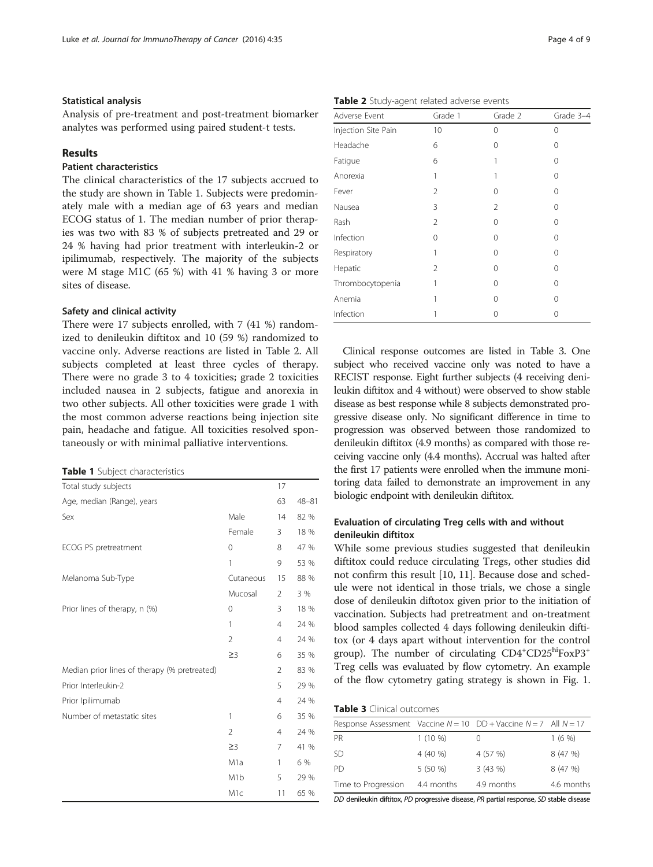#### Statistical analysis

Analysis of pre-treatment and post-treatment biomarker analytes was performed using paired student-t tests.

### Results

## Patient characteristics

The clinical characteristics of the 17 subjects accrued to the study are shown in Table 1. Subjects were predominately male with a median age of 63 years and median ECOG status of 1. The median number of prior therapies was two with 83 % of subjects pretreated and 29 or 24 % having had prior treatment with interleukin-2 or ipilimumab, respectively. The majority of the subjects were M stage M1C (65 %) with 41 % having 3 or more sites of disease.

#### Safety and clinical activity

There were 17 subjects enrolled, with 7 (41 %) randomized to denileukin diftitox and 10 (59 %) randomized to vaccine only. Adverse reactions are listed in Table 2. All subjects completed at least three cycles of therapy. There were no grade 3 to 4 toxicities; grade 2 toxicities included nausea in 2 subjects, fatigue and anorexia in two other subjects. All other toxicities were grade 1 with the most common adverse reactions being injection site pain, headache and fatigue. All toxicities resolved spontaneously or with minimal palliative interventions.

|  | Table 1 Subject characteristics |
|--|---------------------------------|
|--|---------------------------------|

| Total study subjects                         |                  | 17             |           |
|----------------------------------------------|------------------|----------------|-----------|
| Age, median (Range), years                   |                  | 63             | $48 - 81$ |
| Sex                                          | Male             | 14             | 82 %      |
|                                              | Female           | 3              | 18 %      |
| ECOG PS pretreatment                         | 0                | 8              | 47 %      |
|                                              | 1                | 9              | 53 %      |
| Melanoma Sub-Type                            | Cutaneous        | 15             | 88 %      |
|                                              | Mucosal          | $\overline{2}$ | 3 %       |
| Prior lines of therapy, n (%)                | 0                | 3              | 18 %      |
|                                              | 1                | $\overline{4}$ | 24 %      |
|                                              | $\overline{2}$   | $\overline{4}$ | 24 %      |
|                                              | $\geq$ 3         | 6              | 35 %      |
| Median prior lines of therapy (% pretreated) |                  | $\overline{2}$ | 83 %      |
| Prior Interleukin-2                          |                  | 5              | 29 %      |
| Prior Ipilimumab                             |                  | 4              | 24 %      |
| Number of metastatic sites                   | 1                | 6              | 35 %      |
|                                              | 2                | $\overline{4}$ | 24 %      |
|                                              | $\geq$ 3         | 7              | 41 %      |
|                                              | M <sub>1</sub> a | 1              | 6 %       |
|                                              | M <sub>1</sub> b | 5              | 29 %      |
|                                              | M <sub>1c</sub>  | 11             | 65 %      |

Table 2 Study-agent related adverse events

| Adverse Event       | Grade 1 | Grade 2 | Grade 3-4 |
|---------------------|---------|---------|-----------|
| Injection Site Pain | 10      | 0       | $\Omega$  |
| Headache            | 6       | 0       | $\Omega$  |
| Fatigue             | 6       |         | 0         |
| Anorexia            |         |         | 0         |
| Fever               | 2       | 0       | 0         |
| Nausea              | 3       | 2       | $\Omega$  |
| Rash                | 2       | 0       | $\Omega$  |
| Infection           | 0       | 0       | $\Omega$  |
| Respiratory         |         | 0       | 0         |
| Hepatic             | 2       | 0       | $\Omega$  |
| Thrombocytopenia    |         | 0       | 0         |
| Anemia              |         | 0       | 0         |
| Infection           |         | Ω       | 0         |

Clinical response outcomes are listed in Table 3. One subject who received vaccine only was noted to have a RECIST response. Eight further subjects (4 receiving denileukin diftitox and 4 without) were observed to show stable disease as best response while 8 subjects demonstrated progressive disease only. No significant difference in time to progression was observed between those randomized to denileukin diftitox (4.9 months) as compared with those receiving vaccine only (4.4 months). Accrual was halted after the first 17 patients were enrolled when the immune monitoring data failed to demonstrate an improvement in any biologic endpoint with denileukin diftitox.

## Evaluation of circulating Treg cells with and without denileukin diftitox

While some previous studies suggested that denileukin diftitox could reduce circulating Tregs, other studies did not confirm this result [[10](#page-8-0), [11](#page-8-0)]. Because dose and schedule were not identical in those trials, we chose a single dose of denileukin diftotox given prior to the initiation of vaccination. Subjects had pretreatment and on-treatment blood samples collected 4 days following denileukin diftitox (or 4 days apart without intervention for the control group). The number of circulating CD4<sup>+</sup>CD25<sup>hi</sup>FoxP3<sup>+</sup> Treg cells was evaluated by flow cytometry. An example of the flow cytometry gating strategy is shown in Fig. [1](#page-4-0).

| Response Assessment Vaccine $N = 10$ DD + Vaccine $N = 7$ All $N = 17$ |            |            |            |
|------------------------------------------------------------------------|------------|------------|------------|
| PR                                                                     | $1(10\%)$  |            | $1(6\%)$   |
| -SD                                                                    | 4 (40 %)   | 4 (57 %)   | 8 (47 %)   |
| PD.                                                                    | $5(50\%)$  | 3(43%)     | 8 (47 %)   |
| Time to Progression                                                    | 4.4 months | 4.9 months | 4.6 months |

DD denileukin diftitox, PD progressive disease, PR partial response, SD stable disease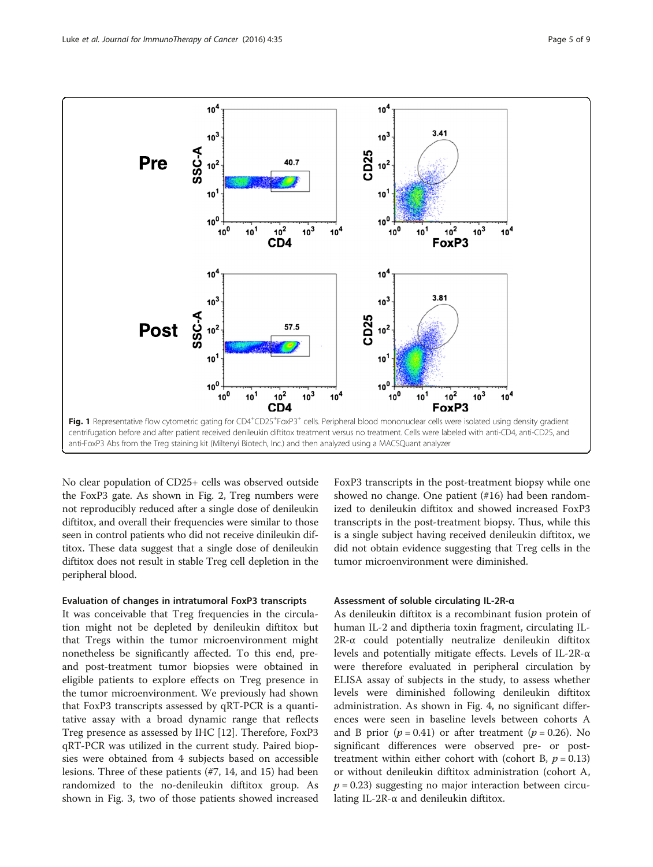<span id="page-4-0"></span>

No clear population of CD25+ cells was observed outside the FoxP3 gate. As shown in Fig. [2,](#page-5-0) Treg numbers were not reproducibly reduced after a single dose of denileukin diftitox, and overall their frequencies were similar to those seen in control patients who did not receive dinileukin diftitox. These data suggest that a single dose of denileukin diftitox does not result in stable Treg cell depletion in the peripheral blood.

#### Evaluation of changes in intratumoral FoxP3 transcripts

It was conceivable that Treg frequencies in the circulation might not be depleted by denileukin diftitox but that Tregs within the tumor microenvironment might nonetheless be significantly affected. To this end, preand post-treatment tumor biopsies were obtained in eligible patients to explore effects on Treg presence in the tumor microenvironment. We previously had shown that FoxP3 transcripts assessed by qRT-PCR is a quantitative assay with a broad dynamic range that reflects Treg presence as assessed by IHC [[12](#page-8-0)]. Therefore, FoxP3 qRT-PCR was utilized in the current study. Paired biopsies were obtained from 4 subjects based on accessible lesions. Three of these patients (#7, 14, and 15) had been randomized to the no-denileukin diftitox group. As shown in Fig. [3](#page-5-0), two of those patients showed increased

FoxP3 transcripts in the post-treatment biopsy while one showed no change. One patient (#16) had been randomized to denileukin diftitox and showed increased FoxP3 transcripts in the post-treatment biopsy. Thus, while this is a single subject having received denileukin diftitox, we did not obtain evidence suggesting that Treg cells in the tumor microenvironment were diminished.

#### Assessment of soluble circulating IL-2R-α

As denileukin diftitox is a recombinant fusion protein of human IL-2 and diptheria toxin fragment, circulating IL-2R-α could potentially neutralize denileukin diftitox levels and potentially mitigate effects. Levels of IL-2R-α were therefore evaluated in peripheral circulation by ELISA assay of subjects in the study, to assess whether levels were diminished following denileukin diftitox administration. As shown in Fig. [4,](#page-6-0) no significant differences were seen in baseline levels between cohorts A and B prior  $(p = 0.41)$  or after treatment  $(p = 0.26)$ . No significant differences were observed pre- or posttreatment within either cohort with (cohort B,  $p = 0.13$ ) or without denileukin diftitox administration (cohort A,  $p = 0.23$ ) suggesting no major interaction between circulating IL-2R-α and denileukin diftitox.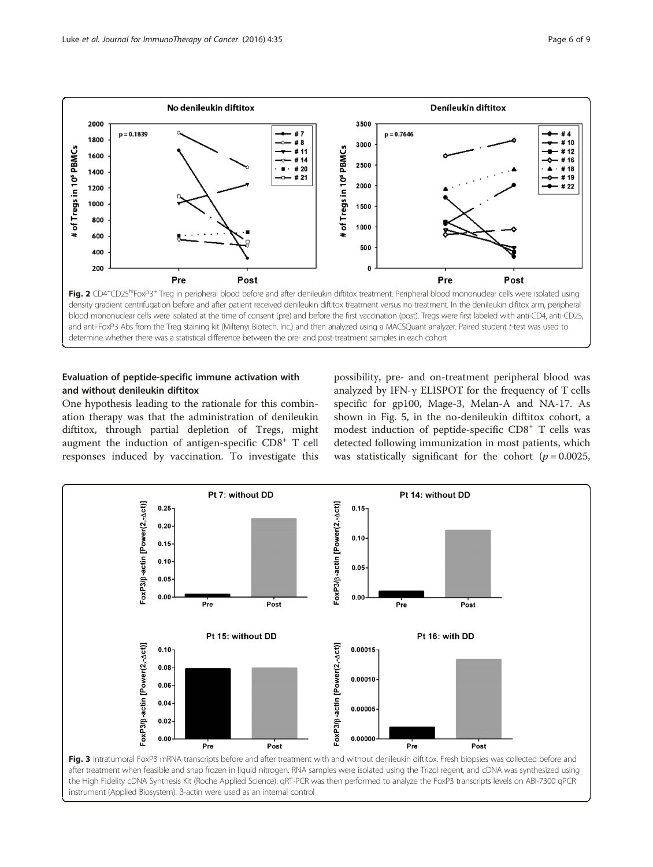

<span id="page-5-0"></span>

## Evaluation of peptide-specific immune activation with and without denileukin diftitox

One hypothesis leading to the rationale for this combination therapy was that the administration of denileukin diftitox, through partial depletion of Tregs, might augment the induction of antigen-specific CD8<sup>+</sup> T cell responses induced by vaccination. To investigate this

possibility, pre- and on-treatment peripheral blood was analyzed by IFN-γ ELISPOT for the frequency of T cells specific for gp100, Mage-3, Melan-A and NA-17. As shown in Fig. [5](#page-6-0), in the no-denileukin diftitox cohort, a modest induction of peptide-specific CD8<sup>+</sup> T cells was detected following immunization in most patients, which was statistically significant for the cohort ( $p = 0.0025$ ,

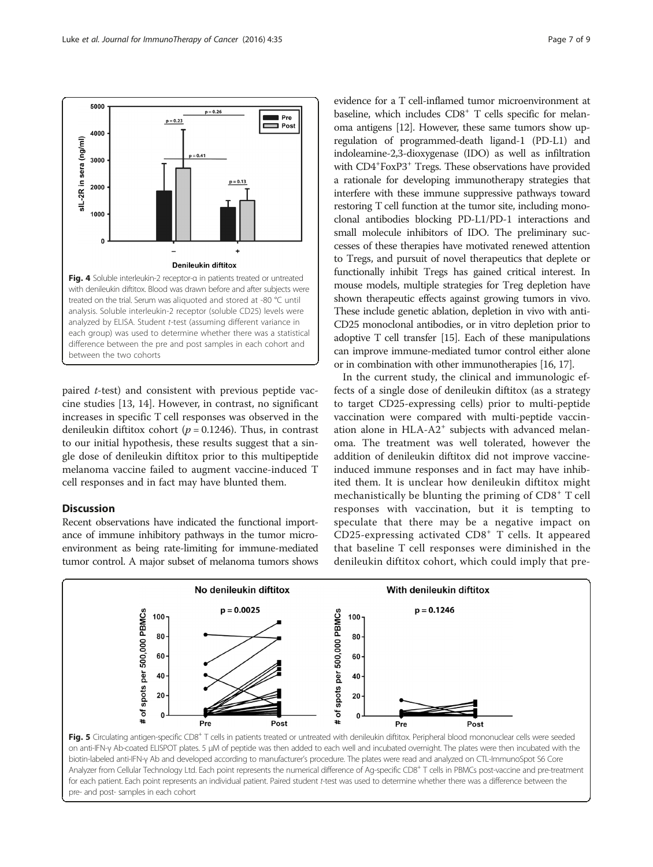<span id="page-6-0"></span>

paired t-test) and consistent with previous peptide vaccine studies [\[13, 14\]](#page-8-0). However, in contrast, no significant increases in specific T cell responses was observed in the denileukin diftitox cohort ( $p = 0.1246$ ). Thus, in contrast to our initial hypothesis, these results suggest that a single dose of denileukin diftitox prior to this multipeptide melanoma vaccine failed to augment vaccine-induced T cell responses and in fact may have blunted them.

### **Discussion**

Recent observations have indicated the functional importance of immune inhibitory pathways in the tumor microenvironment as being rate-limiting for immune-mediated tumor control. A major subset of melanoma tumors shows

evidence for a T cell-inflamed tumor microenvironment at baseline, which includes CD8<sup>+</sup> T cells specific for melanoma antigens [\[12\]](#page-8-0). However, these same tumors show upregulation of programmed-death ligand-1 (PD-L1) and indoleamine-2,3-dioxygenase (IDO) as well as infiltration with CD4<sup>+</sup>FoxP3<sup>+</sup> Tregs. These observations have provided a rationale for developing immunotherapy strategies that interfere with these immune suppressive pathways toward restoring T cell function at the tumor site, including monoclonal antibodies blocking PD-L1/PD-1 interactions and small molecule inhibitors of IDO. The preliminary successes of these therapies have motivated renewed attention to Tregs, and pursuit of novel therapeutics that deplete or functionally inhibit Tregs has gained critical interest. In mouse models, multiple strategies for Treg depletion have shown therapeutic effects against growing tumors in vivo. These include genetic ablation, depletion in vivo with anti-CD25 monoclonal antibodies, or in vitro depletion prior to adoptive T cell transfer [\[15\]](#page-8-0). Each of these manipulations can improve immune-mediated tumor control either alone or in combination with other immunotherapies [[16](#page-8-0), [17](#page-8-0)].

In the current study, the clinical and immunologic effects of a single dose of denileukin diftitox (as a strategy to target CD25-expressing cells) prior to multi-peptide vaccination were compared with multi-peptide vaccination alone in HLA-A2<sup>+</sup> subjects with advanced melanoma. The treatment was well tolerated, however the addition of denileukin diftitox did not improve vaccineinduced immune responses and in fact may have inhibited them. It is unclear how denileukin diftitox might mechanistically be blunting the priming of CD8<sup>+</sup> T cell responses with vaccination, but it is tempting to speculate that there may be a negative impact on CD25-expressing activated CD8<sup>+</sup> T cells. It appeared that baseline T cell responses were diminished in the denileukin diftitox cohort, which could imply that pre-



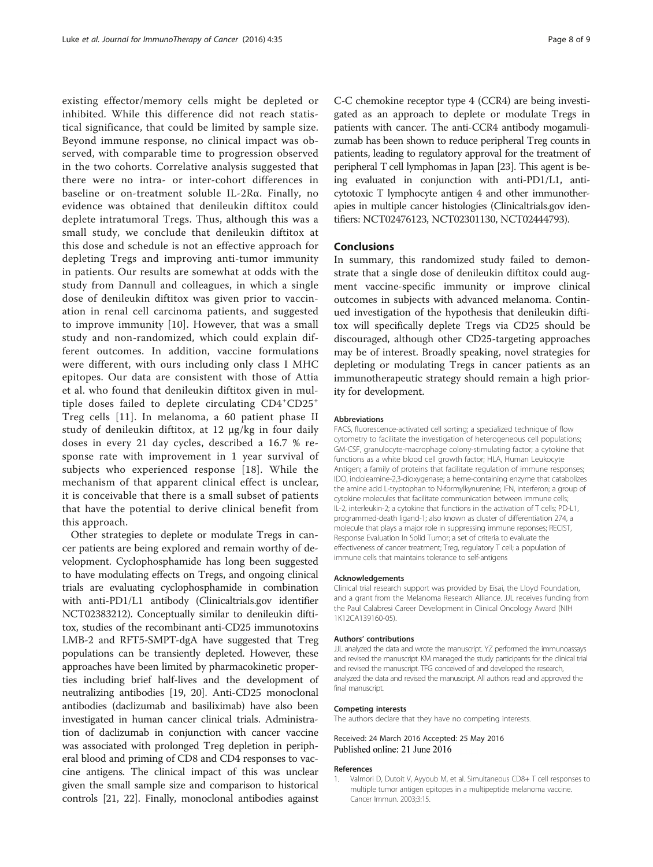<span id="page-7-0"></span>existing effector/memory cells might be depleted or inhibited. While this difference did not reach statistical significance, that could be limited by sample size. Beyond immune response, no clinical impact was observed, with comparable time to progression observed in the two cohorts. Correlative analysis suggested that there were no intra- or inter-cohort differences in baseline or on-treatment soluble IL-2Rα. Finally, no evidence was obtained that denileukin diftitox could deplete intratumoral Tregs. Thus, although this was a small study, we conclude that denileukin diftitox at this dose and schedule is not an effective approach for depleting Tregs and improving anti-tumor immunity in patients. Our results are somewhat at odds with the study from Dannull and colleagues, in which a single dose of denileukin diftitox was given prior to vaccination in renal cell carcinoma patients, and suggested to improve immunity [\[10\]](#page-8-0). However, that was a small study and non-randomized, which could explain different outcomes. In addition, vaccine formulations were different, with ours including only class I MHC epitopes. Our data are consistent with those of Attia et al. who found that denileukin diftitox given in multiple doses failed to deplete circulating CD4<sup>+</sup> CD25<sup>+</sup> Treg cells [[11\]](#page-8-0). In melanoma, a 60 patient phase II study of denileukin diftitox, at 12 μg/kg in four daily doses in every 21 day cycles, described a 16.7 % response rate with improvement in 1 year survival of subjects who experienced response [[18](#page-8-0)]. While the mechanism of that apparent clinical effect is unclear, it is conceivable that there is a small subset of patients that have the potential to derive clinical benefit from this approach.

Other strategies to deplete or modulate Tregs in cancer patients are being explored and remain worthy of development. Cyclophosphamide has long been suggested to have modulating effects on Tregs, and ongoing clinical trials are evaluating cyclophosphamide in combination with anti-PD1/L1 antibody (Clinicaltrials.gov identifier NCT02383212). Conceptually similar to denileukin diftitox, studies of the recombinant anti-CD25 immunotoxins LMB-2 and RFT5-SMPT-dgA have suggested that Treg populations can be transiently depleted. However, these approaches have been limited by pharmacokinetic properties including brief half-lives and the development of neutralizing antibodies [[19](#page-8-0), [20\]](#page-8-0). Anti-CD25 monoclonal antibodies (daclizumab and basiliximab) have also been investigated in human cancer clinical trials. Administration of daclizumab in conjunction with cancer vaccine was associated with prolonged Treg depletion in peripheral blood and priming of CD8 and CD4 responses to vaccine antigens. The clinical impact of this was unclear given the small sample size and comparison to historical controls [[21](#page-8-0), [22\]](#page-8-0). Finally, monoclonal antibodies against

C-C chemokine receptor type 4 (CCR4) are being investigated as an approach to deplete or modulate Tregs in patients with cancer. The anti-CCR4 antibody mogamulizumab has been shown to reduce peripheral Treg counts in patients, leading to regulatory approval for the treatment of peripheral T cell lymphomas in Japan [\[23\]](#page-8-0). This agent is being evaluated in conjunction with anti-PD1/L1, anticytotoxic T lymphocyte antigen 4 and other immunotherapies in multiple cancer histologies (Clinicaltrials.gov identifiers: NCT02476123, NCT02301130, NCT02444793).

#### Conclusions

In summary, this randomized study failed to demonstrate that a single dose of denileukin diftitox could augment vaccine-specific immunity or improve clinical outcomes in subjects with advanced melanoma. Continued investigation of the hypothesis that denileukin diftitox will specifically deplete Tregs via CD25 should be discouraged, although other CD25-targeting approaches may be of interest. Broadly speaking, novel strategies for depleting or modulating Tregs in cancer patients as an immunotherapeutic strategy should remain a high priority for development.

#### Abbreviations

FACS, fluorescence-activated cell sorting; a specialized technique of flow cytometry to facilitate the investigation of heterogeneous cell populations; GM-CSF, granulocyte-macrophage colony-stimulating factor; a cytokine that functions as a white blood cell growth factor; HLA, Human Leukocyte Antigen; a family of proteins that facilitate regulation of immune responses; IDO, indoleamine-2,3-dioxygenase; a heme-containing enzyme that catabolizes the amine acid L-tryptophan to N-formylkynurenine; IFN, interferon; a group of cytokine molecules that facilitate communication between immune cells; IL-2, interleukin-2; a cytokine that functions in the activation of T cells; PD-L1, programmed-death ligand-1; also known as cluster of differentiation 274, a molecule that plays a major role in suppressing immune reponses; RECIST, Response Evaluation In Solid Tumor; a set of criteria to evaluate the effectiveness of cancer treatment; Treg, regulatory T cell; a population of immune cells that maintains tolerance to self-antigens

#### Acknowledgements

Clinical trial research support was provided by Eisai, the Lloyd Foundation, and a grant from the Melanoma Research Alliance. JJL receives funding from the Paul Calabresi Career Development in Clinical Oncology Award (NIH 1K12CA139160-05).

#### Authors' contributions

JJL analyzed the data and wrote the manuscript. YZ performed the immunoassays and revised the manuscript. KM managed the study participants for the clinical trial and revised the manuscript. TFG conceived of and developed the research, analyzed the data and revised the manuscript. All authors read and approved the final manuscript.

#### Competing interests

The authors declare that they have no competing interests.

#### Received: 24 March 2016 Accepted: 25 May 2016 Published online: 21 June 2016

#### References

1. Valmori D, Dutoit V, Ayyoub M, et al. Simultaneous CD8+ T cell responses to multiple tumor antigen epitopes in a multipeptide melanoma vaccine. Cancer Immun. 2003;3:15.